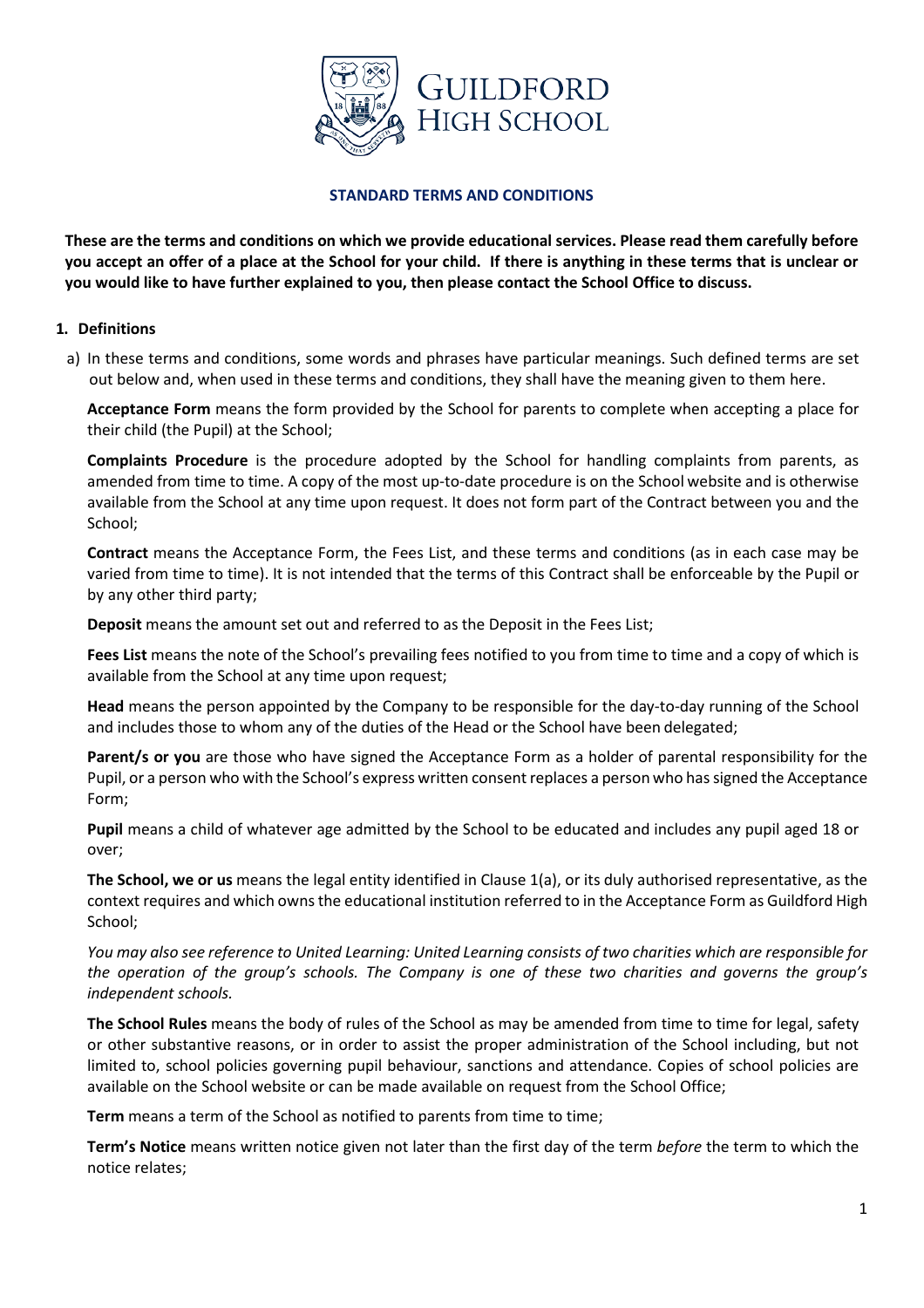

#### **STANDARD TERMS AND CONDITIONS**

**These are the terms and conditions on which we provide educational services. Please read them carefully before you accept an offer of a place at the School for your child. If there is anything in these terms that is unclear or you would like to have further explained to you, then please contact the School Office to discuss.** 

#### **1. Definitions**

a) In these terms and conditions, some words and phrases have particular meanings. Such defined terms are set out below and, when used in these terms and conditions, they shall have the meaning given to them here.

**Acceptance Form** means the form provided by the School for parents to complete when accepting a place for their child (the Pupil) at the School;

**Complaints Procedure** is the procedure adopted by the School for handling complaints from parents, as amended from time to time. A copy of the most up-to-date procedure is on the School website and is otherwise available from the School at any time upon request. It does not form part of the Contract between you and the School;

**Contract** means the Acceptance Form, the Fees List, and these terms and conditions (as in each case may be varied from time to time). It is not intended that the terms of this Contract shall be enforceable by the Pupil or by any other third party;

**Deposit** means the amount set out and referred to as the Deposit in the Fees List;

**Fees List** means the note of the School's prevailing fees notified to you from time to time and a copy of which is available from the School at any time upon request;

**Head** means the person appointed by the Company to be responsible for the day-to-day running of the School and includes those to whom any of the duties of the Head or the School have been delegated;

**Parent/s or you** are those who have signed the Acceptance Form as a holder of parental responsibility for the Pupil, or a person who with the School's express written consent replaces a person who has signed the Acceptance Form;

**Pupil** means a child of whatever age admitted by the School to be educated and includes any pupil aged 18 or over;

**The School, we or us** means the legal entity identified in Clause 1(a), or its duly authorised representative, as the context requires and which owns the educational institution referred to in the Acceptance Form as Guildford High School;

*You may also see reference to United Learning: United Learning consists of two charities which are responsible for the operation of the group's schools. The Company is one of these two charities and governs the group's independent schools.* 

**The School Rules** means the body of rules of the School as may be amended from time to time for legal, safety or other substantive reasons, or in order to assist the proper administration of the School including, but not limited to, school policies governing pupil behaviour, sanctions and attendance. Copies of school policies are available on the School website or can be made available on request from the School Office;

**Term** means a term of the School as notified to parents from time to time;

**Term's Notice** means written notice given not later than the first day of the term *before* the term to which the notice relates;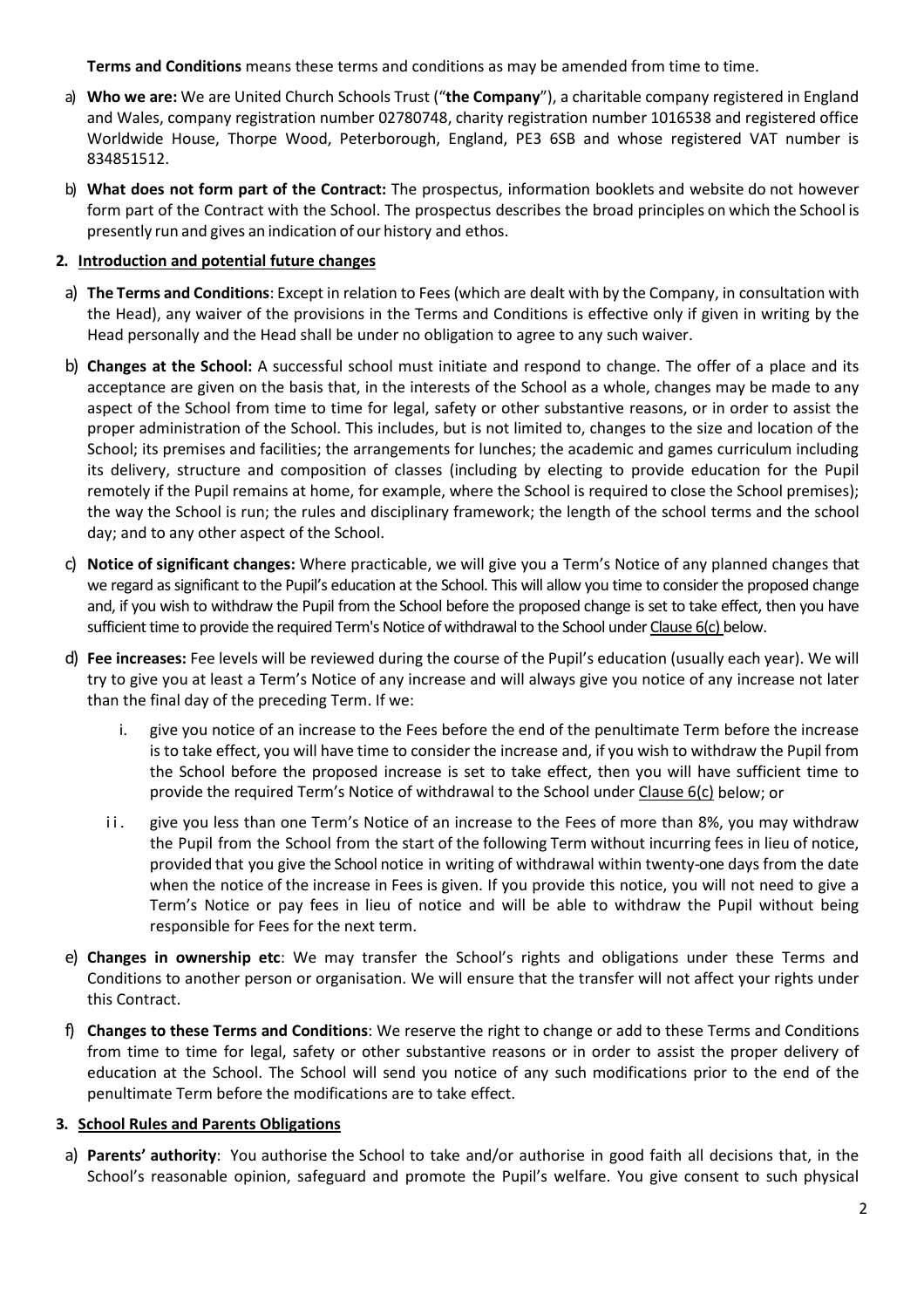**Terms and Conditions** means these terms and conditions as may be amended from time to time.

- a) **Who we are:** We are United Church Schools Trust ("**the Company**"), a charitable company registered in England and Wales, company registration number 02780748, charity registration number 1016538 and registered office Worldwide House, Thorpe Wood, Peterborough, England, PE3 6SB and whose registered VAT number is 834851512.
- b) **What does not form part of the Contract:** The prospectus, information booklets and website do not however form part of the Contract with the School. The prospectus describes the broad principles on which the School is presently run and gives an indication of our history and ethos.

### **2. Introduction and potential future changes**

- a) **The Terms and Conditions**: Except in relation to Fees (which are dealt with by the Company, in consultation with the Head), any waiver of the provisions in the Terms and Conditions is effective only if given in writing by the Head personally and the Head shall be under no obligation to agree to any such waiver.
- b) **Changes at the School:** A successful school must initiate and respond to change. The offer of a place and its acceptance are given on the basis that, in the interests of the School as a whole, changes may be made to any aspect of the School from time to time for legal, safety or other substantive reasons, or in order to assist the proper administration of the School. This includes, but is not limited to, changes to the size and location of the School; its premises and facilities; the arrangements for lunches; the academic and games curriculum including its delivery, structure and composition of classes (including by electing to provide education for the Pupil remotely if the Pupil remains at home, for example, where the School is required to close the School premises); the way the School is run; the rules and disciplinary framework; the length of the school terms and the school day; and to any other aspect of the School.
- c) **Notice of significant changes:** Where practicable, we will give you a Term's Notice of any planned changes that we regard as significant to the Pupil's education at the School. This will allow you time to consider the proposed change and, if you wish to withdraw the Pupil from the School before the proposed change is set to take effect, then you have sufficient time to provide the required Term's Notice of withdrawal to the School under Clause 6[\(c\)](#page-7-0) below.
- d) **Fee increases:** Fee levels will be reviewed during the course of the Pupil's education (usually each year). We will try to give you at least a Term's Notice of any increase and will always give you notice of any increase not later than the final day of the preceding Term. If we:
	- i. give you notice of an increase to the Fees before the end of the penultimate Term before the increase is to take effect, you will have time to consider the increase and, if you wish to withdraw the Pupil from the School before the proposed increase is set to take effect, then you will have sufficient time to provide the required Term's Notice of withdrawal to the School under Clause 6[\(c\)](#page-7-0) below; or
	- ii. give you less than one Term's Notice of an increase to the Fees of more than 8%, you may withdraw the Pupil from the School from the start of the following Term without incurring fees in lieu of notice, provided that you give the School notice in writing of withdrawal within twenty-one days from the date when the notice of the increase in Fees is given. If you provide this notice, you will not need to give a Term's Notice or pay fees in lieu of notice and will be able to withdraw the Pupil without being responsible for Fees for the next term.
- e) **Changes in ownership etc**: We may transfer the School's rights and obligations under these Terms and Conditions to another person or organisation. We will ensure that the transfer will not affect your rights under this Contract.
- f) **Changes to these Terms and Conditions**: We reserve the right to change or add to these Terms and Conditions from time to time for legal, safety or other substantive reasons or in order to assist the proper delivery of education at the School. The School will send you notice of any such modifications prior to the end of the penultimate Term before the modifications are to take effect.

#### **3. School Rules and Parents Obligations**

a) **Parents' authority**: You authorise the School to take and/or authorise in good faith all decisions that, in the School's reasonable opinion, safeguard and promote the Pupil's welfare. You give consent to such physical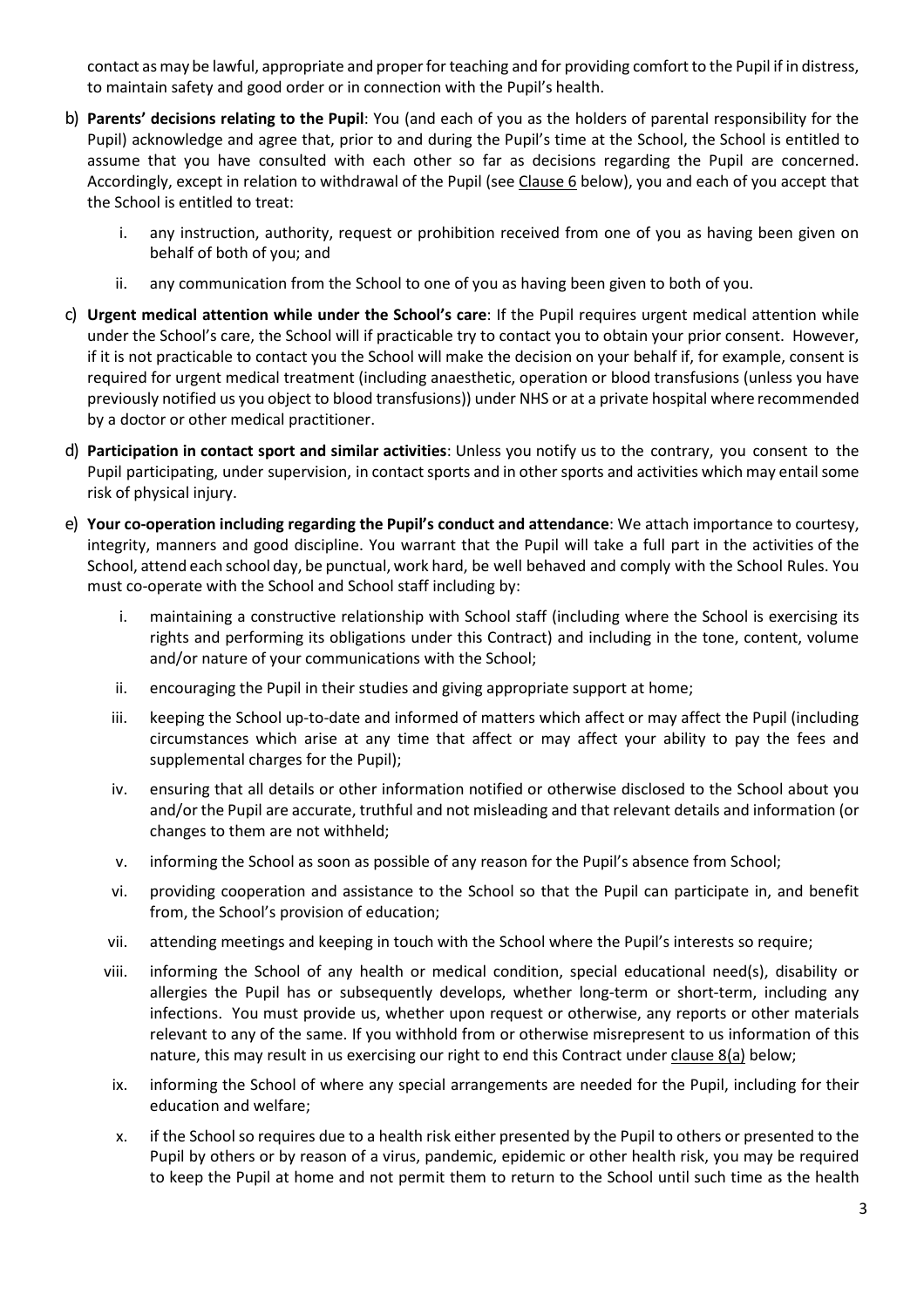contact asmay be lawful, appropriate and properfor teaching and for providing comfort to the Pupil if in distress, to maintain safety and good order or in connection with the Pupil's health.

- b) **Parents' decisions relating to the Pupil**: You (and each of you as the holders of parental responsibility for the Pupil) acknowledge and agree that, prior to and during the Pupil's time at the School, the School is entitled to assume that you have consulted with each other so far as decisions regarding the Pupil are concerned. Accordingly, except in relation to withdrawal of the Pupil (see Clause 6 below), you and each of you accept that the School is entitled to treat:
	- i. any instruction, authority, request or prohibition received from one of you as having been given on behalf of both of you; and
	- ii. any communication from the School to one of you as having been given to both of you.
- c) **Urgent medical attention while under the School's care**: If the Pupil requires urgent medical attention while under the School's care, the School will if practicable try to contact you to obtain your prior consent. However, if it is not practicable to contact you the School will make the decision on your behalf if, for example, consent is required for urgent medical treatment (including anaesthetic, operation or blood transfusions (unless you have previously notified us you object to blood transfusions)) under NHS or at a private hospital where recommended by a doctor or other medical practitioner.
- d) **Participation in contact sport and similar activities**: Unless you notify us to the contrary, you consent to the Pupil participating, under supervision, in contact sports and in other sports and activities which may entail some risk of physical injury.
- e) **Your co-operation including regarding the Pupil's conduct and attendance**: We attach importance to courtesy, integrity, manners and good discipline. You warrant that the Pupil will take a full part in the activities of the School, attend each school day, be punctual, work hard, be well behaved and comply with the School Rules. You must co-operate with the School and School staff including by:
	- i. maintaining a constructive relationship with School staff (including where the School is exercising its rights and performing its obligations under this Contract) and including in the tone, content, volume and/or nature of your communications with the School;
	- ii. encouraging the Pupil in their studies and giving appropriate support at home;
	- iii. keeping the School up-to-date and informed of matters which affect or may affect the Pupil (including circumstances which arise at any time that affect or may affect your ability to pay the fees and supplemental charges for the Pupil);
	- iv. ensuring that all details or other information notified or otherwise disclosed to the School about you and/or the Pupil are accurate, truthful and not misleading and that relevant details and information (or changes to them are not withheld;
	- v. informing the School as soon as possible of any reason for the Pupil's absence from School;
	- vi. providing cooperation and assistance to the School so that the Pupil can participate in, and benefit from, the School's provision of education;
	- vii. attending meetings and keeping in touch with the School where the Pupil's interests so require;
	- viii. informing the School of any health or medical condition, special educational need(s), disability or allergies the Pupil has or subsequently develops, whether long-term or short-term, including any infections. You must provide us, whether upon request or otherwise, any reports or other materials relevant to any of the same. If you withhold from or otherwise misrepresent to us information of this nature, this may result in us exercising our right to end this Contract under clause 8(a) below;
	- ix. informing the School of where any special arrangements are needed for the Pupil, including for their education and welfare;
	- x. if the School so requires due to a health risk either presented by the Pupil to others or presented to the Pupil by others or by reason of a virus, pandemic, epidemic or other health risk, you may be required to keep the Pupil at home and not permit them to return to the School until such time as the health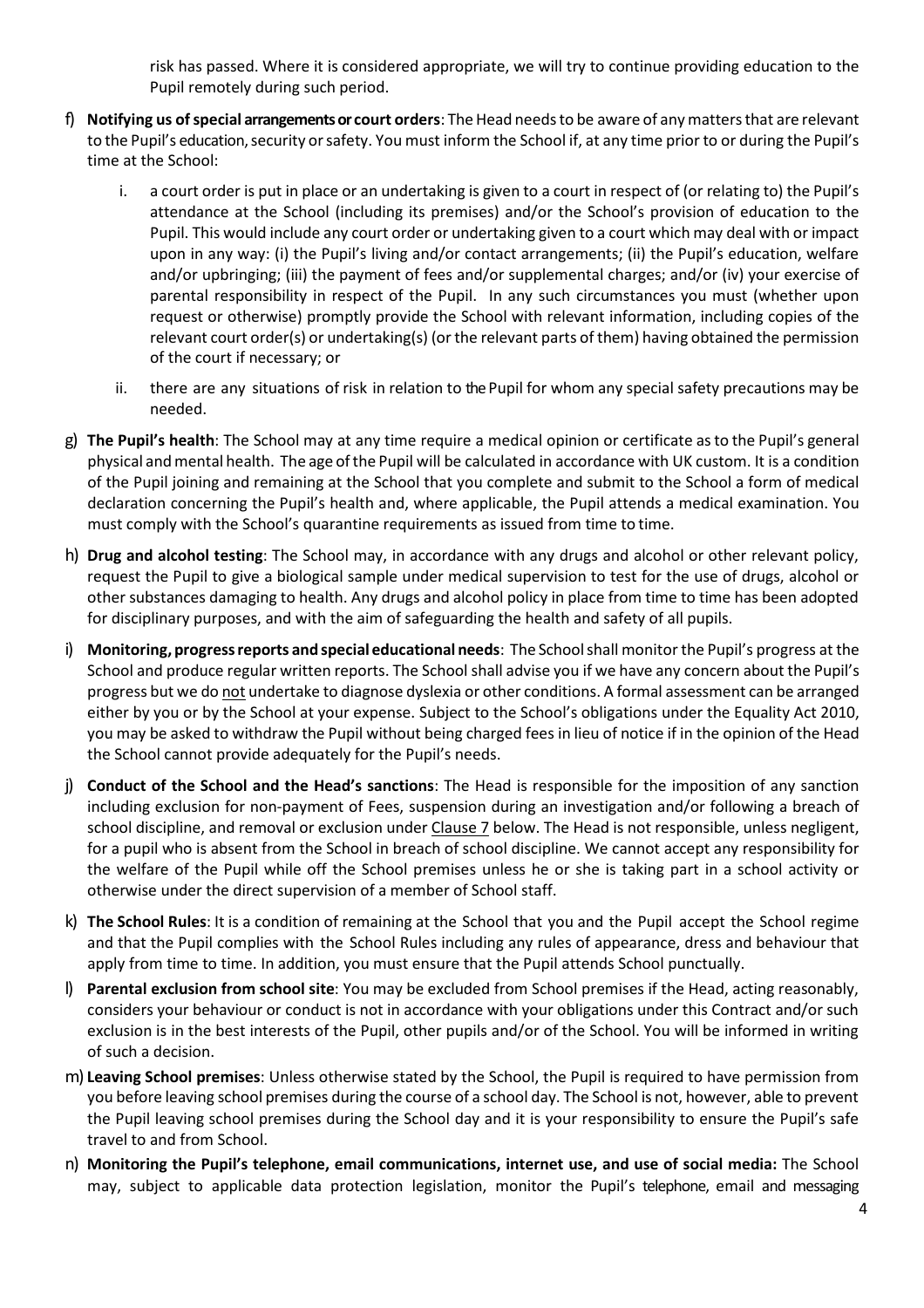risk has passed. Where it is considered appropriate, we will try to continue providing education to the Pupil remotely during such period.

- f) Notifying us of special arrangements or court orders: The Head needs to be aware of any matters that are relevant to the Pupil's education, security orsafety. You must inform the School if, at any time prior to or during the Pupil's time at the School:
	- i. a court order is put in place or an undertaking is given to a court in respect of (or relating to) the Pupil's attendance at the School (including its premises) and/or the School's provision of education to the Pupil. This would include any court order or undertaking given to a court which may deal with or impact upon in any way: (i) the Pupil's living and/or contact arrangements; (ii) the Pupil's education, welfare and/or upbringing; (iii) the payment of fees and/or supplemental charges; and/or (iv) your exercise of parental responsibility in respect of the Pupil. In any such circumstances you must (whether upon request or otherwise) promptly provide the School with relevant information, including copies of the relevant court order(s) or undertaking(s) (or the relevant parts of them) having obtained the permission of the court if necessary; or
	- ii. there are any situations of risk in relation to the Pupil for whom any special safety precautions may be needed.
- g) **The Pupil's health**: The School may at any time require a medical opinion or certificate asto the Pupil's general physical andmental health. The age ofthe Pupil will be calculated in accordance with UK custom. It is a condition of the Pupil joining and remaining at the School that you complete and submit to the School a form of medical declaration concerning the Pupil's health and, where applicable, the Pupil attends a medical examination. You must comply with the School's quarantine requirements as issued from time to time.
- h) **Drug and alcohol testing**: The School may, in accordance with any drugs and alcohol or other relevant policy, request the Pupil to give a biological sample under medical supervision to test for the use of drugs, alcohol or other substances damaging to health. Any drugs and alcohol policy in place from time to time has been adopted for disciplinary purposes, and with the aim of safeguarding the health and safety of all pupils.
- i) **Monitoring, progressreports and special educational needs**: The Schoolshall monitor the Pupil's progress at the School and produce regular written reports. The School shall advise you if we have any concern about the Pupil's progress but we do not undertake to diagnose dyslexia or other conditions. A formal assessment can be arranged either by you or by the School at your expense. Subject to the School's obligations under the Equality Act 2010, you may be asked to withdraw the Pupil without being charged fees in lieu of notice if in the opinion of the Head the School cannot provide adequately for the Pupil's needs.
- j) **Conduct of the School and the Head's sanctions**: The Head is responsible for the imposition of any sanction including exclusion for non-payment of Fees, suspension during an investigation and/or following a breach of school discipline, and removal or exclusion under Clause 7 below. The Head is not responsible, unless negligent, for a pupil who is absent from the School in breach of school discipline. We cannot accept any responsibility for the welfare of the Pupil while off the School premises unless he or she is taking part in a school activity or otherwise under the direct supervision of a member of School staff.
- k) **The School Rules**: It is a condition of remaining at the School that you and the Pupil accept the School regime and that the Pupil complies with the School Rules including any rules of appearance, dress and behaviour that apply from time to time. In addition, you must ensure that the Pupil attends School punctually.
- l) **Parental exclusion from school site**: You may be excluded from School premises if the Head, acting reasonably, considers your behaviour or conduct is not in accordance with your obligations under this Contract and/or such exclusion is in the best interests of the Pupil, other pupils and/or of the School. You will be informed in writing of such a decision.
- m) **Leaving School premises**: Unless otherwise stated by the School, the Pupil is required to have permission from you before leaving school premises during the course of a school day. The School is not, however, able to prevent the Pupil leaving school premises during the School day and it is your responsibility to ensure the Pupil's safe travel to and from School.
- n) **Monitoring the Pupil's telephone, email communications, internet use, and use of social media:** The School may, subject to applicable data protection legislation, monitor the Pupil's telephone, email and messaging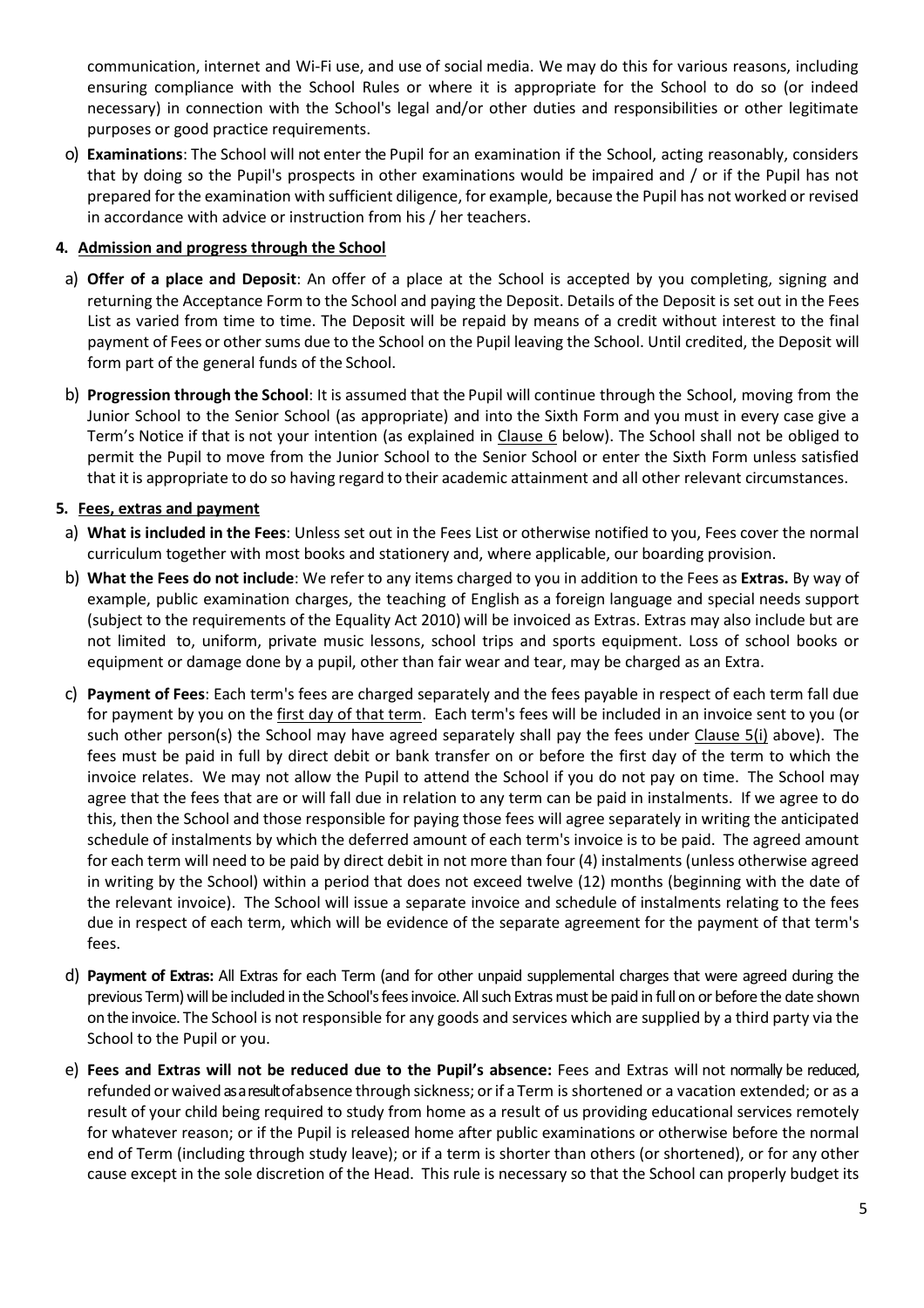communication, internet and Wi-Fi use, and use of social media. We may do this for various reasons, including ensuring compliance with the School Rules or where it is appropriate for the School to do so (or indeed necessary) in connection with the School's legal and/or other duties and responsibilities or other legitimate purposes or good practice requirements.

o) **Examinations**: The School will not enter the Pupil for an examination if the School, acting reasonably, considers that by doing so the Pupil's prospects in other examinations would be impaired and / or if the Pupil has not prepared for the examination with sufficient diligence, for example, because the Pupil has not worked or revised in accordance with advice or instruction from his / her teachers.

#### **4. Admission and progress through the School**

- a) **Offer of a place and Deposit**: An offer of a place at the School is accepted by you completing, signing and returning the Acceptance Form to the School and paying the Deposit. Details of the Deposit is set out in the Fees List as varied from time to time. The Deposit will be repaid by means of a credit without interest to the final payment of Fees or other sums due to the School on the Pupil leaving the School. Until credited, the Deposit will form part of the general funds of the School.
- b) **Progression through the School**: It is assumed that the Pupil will continue through the School, moving from the Junior School to the Senior School (as appropriate) and into the Sixth Form and you must in every case give a Term's Notice if that is not your intention (as explained in Clause [6](#page-6-0) below). The School shall not be obliged to permit the Pupil to move from the Junior School to the Senior School or enter the Sixth Form unless satisfied that it is appropriate to do so having regard to their academic attainment and all other relevant circumstances.

# **5. Fees, extras and payment**

- a) **What is included in the Fees**: Unless set out in the Fees List or otherwise notified to you, Fees cover the normal curriculum together with most books and stationery and, where applicable, our boarding provision.
- b) **What the Fees do not include**: We refer to any items charged to you in addition to the Fees as **Extras.** By way of example, public examination charges, the teaching of English as a foreign language and special needs support (subject to the requirements of the Equality Act 2010) will be invoiced as Extras. Extras may also include but are not limited to, uniform, private music lessons, school trips and sports equipment. Loss of school books or equipment or damage done by a pupil, other than fair wear and tear, may be charged as an Extra.
- c) **Payment of Fees**: Each term's fees are charged separately and the fees payable in respect of each term fall due for payment by you on the first day of that term. Each term's fees will be included in an invoice sent to you (or such other person(s) the School may have agreed separately shall pay the fees under Clause 5(i) above). The fees must be paid in full by direct debit or bank transfer on or before the first day of the term to which the invoice relates. We may not allow the Pupil to attend the School if you do not pay on time. The School may agree that the fees that are or will fall due in relation to any term can be paid in instalments. If we agree to do this, then the School and those responsible for paying those fees will agree separately in writing the anticipated schedule of instalments by which the deferred amount of each term's invoice is to be paid. The agreed amount for each term will need to be paid by direct debit in not more than four (4) instalments (unless otherwise agreed in writing by the School) within a period that does not exceed twelve (12) months (beginning with the date of the relevant invoice). The School will issue a separate invoice and schedule of instalments relating to the fees due in respect of each term, which will be evidence of the separate agreement for the payment of that term's fees.
- d) **Payment of Extras:** All Extras for each Term (and for other unpaid supplemental charges that were agreed during the previous Term) will be included in the School's fees invoice. All such Extras must be paid in full on or before the date shown on the invoice. The School is not responsible for any goods and services which are supplied by a third party via the School to the Pupil or you.
- e) **Fees and Extras will not be reduced due to the Pupil's absence:** Fees and Extras will not normally be reduced, refunded or waived as a result of absence through sickness; orif a Term is shortened or a vacation extended; or as a result of your child being required to study from home as a result of us providing educational services remotely for whatever reason; or if the Pupil is released home after public examinations or otherwise before the normal end of Term (including through study leave); or if a term is shorter than others (or shortened), or for any other cause except in the sole discretion of the Head. This rule is necessary so that the School can properly budget its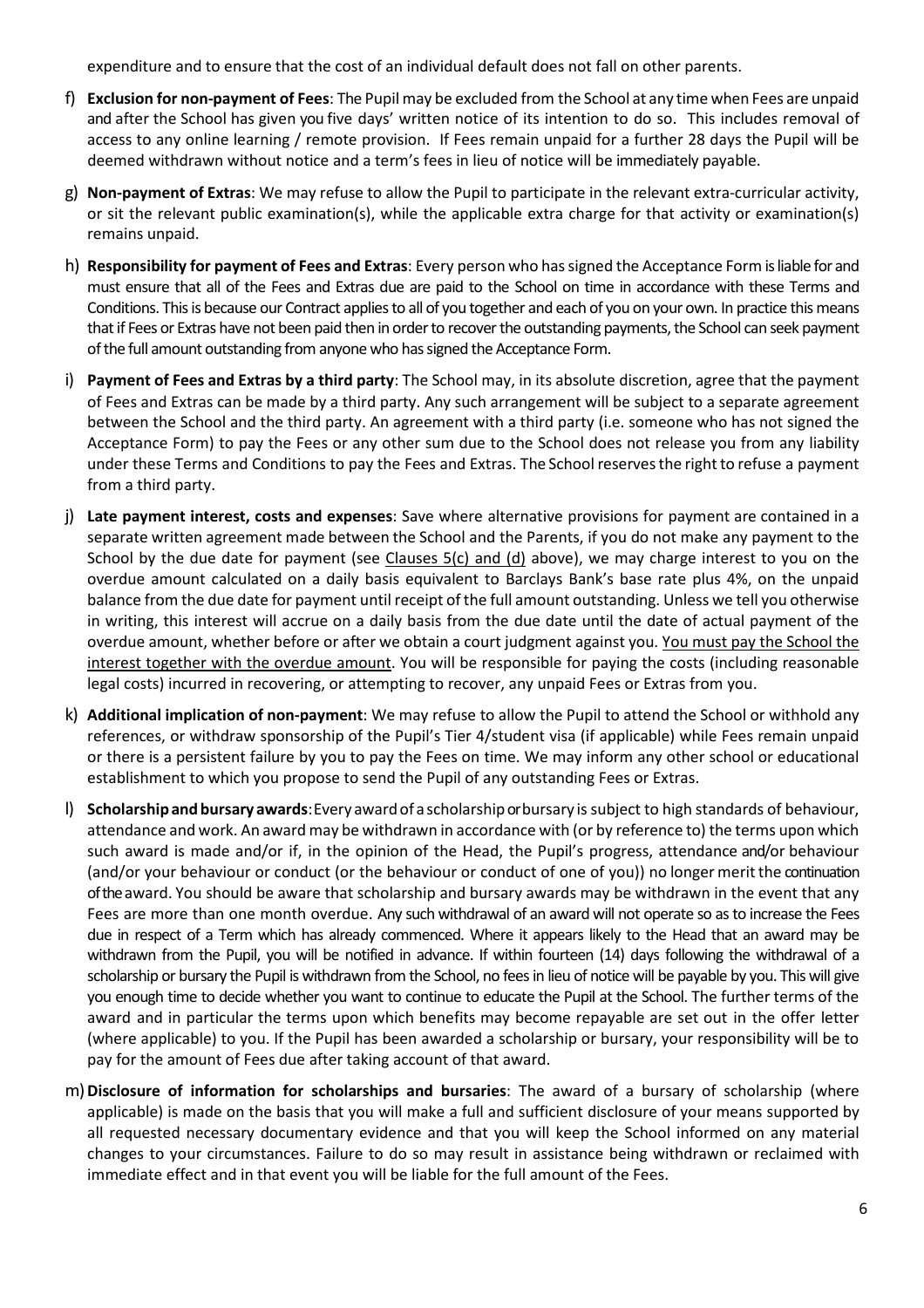expenditure and to ensure that the cost of an individual default does not fall on other parents.

- f) **Exclusion for non-payment of Fees**: The Pupil may be excluded from the School at any time when Fees are unpaid and after the School has given you five days' written notice of its intention to do so. This includes removal of access to any online learning / remote provision. If Fees remain unpaid for a further 28 days the Pupil will be deemed withdrawn without notice and a term's fees in lieu of notice will be immediately payable.
- g) **Non-payment of Extras**: We may refuse to allow the Pupil to participate in the relevant extra-curricular activity, or sit the relevant public examination(s), while the applicable extra charge for that activity or examination(s) remains unpaid.
- h) **Responsibility for payment of Fees and Extras**: Every person who hassigned the Acceptance Form is liable for and must ensure that all of the Fees and Extras due are paid to the School on time in accordance with these Terms and Conditions. This is because our Contract applies to all of you together and each of you on your own. In practice this means that if Fees or Extras have not been paid then in order to recover the outstanding payments, the School can seek payment of the full amount outstanding from anyone who has signed the Acceptance Form.
- i) **Payment of Fees and Extras by a third party**: The School may, in its absolute discretion, agree that the payment of Fees and Extras can be made by a third party. Any such arrangement will be subject to a separate agreement between the School and the third party. An agreement with a third party (i.e. someone who has not signed the Acceptance Form) to pay the Fees or any other sum due to the School does not release you from any liability under these Terms and Conditions to pay the Fees and Extras. The School reserves the right to refuse a payment from a third party.
- j) **Late payment interest, costs and expenses**: Save where alternative provisions for payment are contained in a separate written agreement made between the School and the Parents, if you do not make any payment to the School by the due date for payment (see Clauses 5(c) and (d) above), we may charge interest to you on the overdue amount calculated on a daily basis equivalent to Barclays Bank's base rate plus 4%, on the unpaid balance from the due date for payment until receipt of the full amount outstanding. Unless we tell you otherwise in writing, this interest will accrue on a daily basis from the due date until the date of actual payment of the overdue amount, whether before or after we obtain a court judgment against you. You must pay the School the interest together with the overdue amount. You will be responsible for paying the costs (including reasonable legal costs) incurred in recovering, or attempting to recover, any unpaid Fees or Extras from you.
- k) **Additional implication of non-payment**: We may refuse to allow the Pupil to attend the School or withhold any references, or withdraw sponsorship of the Pupil's Tier 4/student visa (if applicable) while Fees remain unpaid or there is a persistent failure by you to pay the Fees on time. We may inform any other school or educational establishment to which you propose to send the Pupil of any outstanding Fees or Extras.
- l) **Scholarshipand bursary awards**: Every awardof ascholarshipor bursary is subject to high standards of behaviour, attendance and work. An award may be withdrawn in accordance with (or by reference to) the terms upon which such award is made and/or if, in the opinion of the Head, the Pupil's progress, attendance and/or behaviour (and/or your behaviour or conduct (or the behaviour or conduct of one of you)) no longer meritthe continuation of the award. You should be aware that scholarship and bursary awards may be withdrawn in the event that any Fees are more than one month overdue. Any such withdrawal of an award will not operate so as to increase the Fees due in respect of a Term which has already commenced. Where it appears likely to the Head that an award may be withdrawn from the Pupil, you will be notified in advance. If within fourteen (14) days following the withdrawal of a scholarship or bursary the Pupil is withdrawn from the School, no fees in lieu of notice will be payable by you. This will give you enough time to decide whether you want to continue to educate the Pupil at the School. The further terms of the award and in particular the terms upon which benefits may become repayable are set out in the offer letter (where applicable) to you. If the Pupil has been awarded a scholarship or bursary, your responsibility will be to pay for the amount of Fees due after taking account of that award.
- m)**Disclosure of information for scholarships and bursaries**: The award of a bursary of scholarship (where applicable) is made on the basis that you will make a full and sufficient disclosure of your means supported by all requested necessary documentary evidence and that you will keep the School informed on any material changes to your circumstances. Failure to do so may result in assistance being withdrawn or reclaimed with immediate effect and in that event you will be liable for the full amount of the Fees.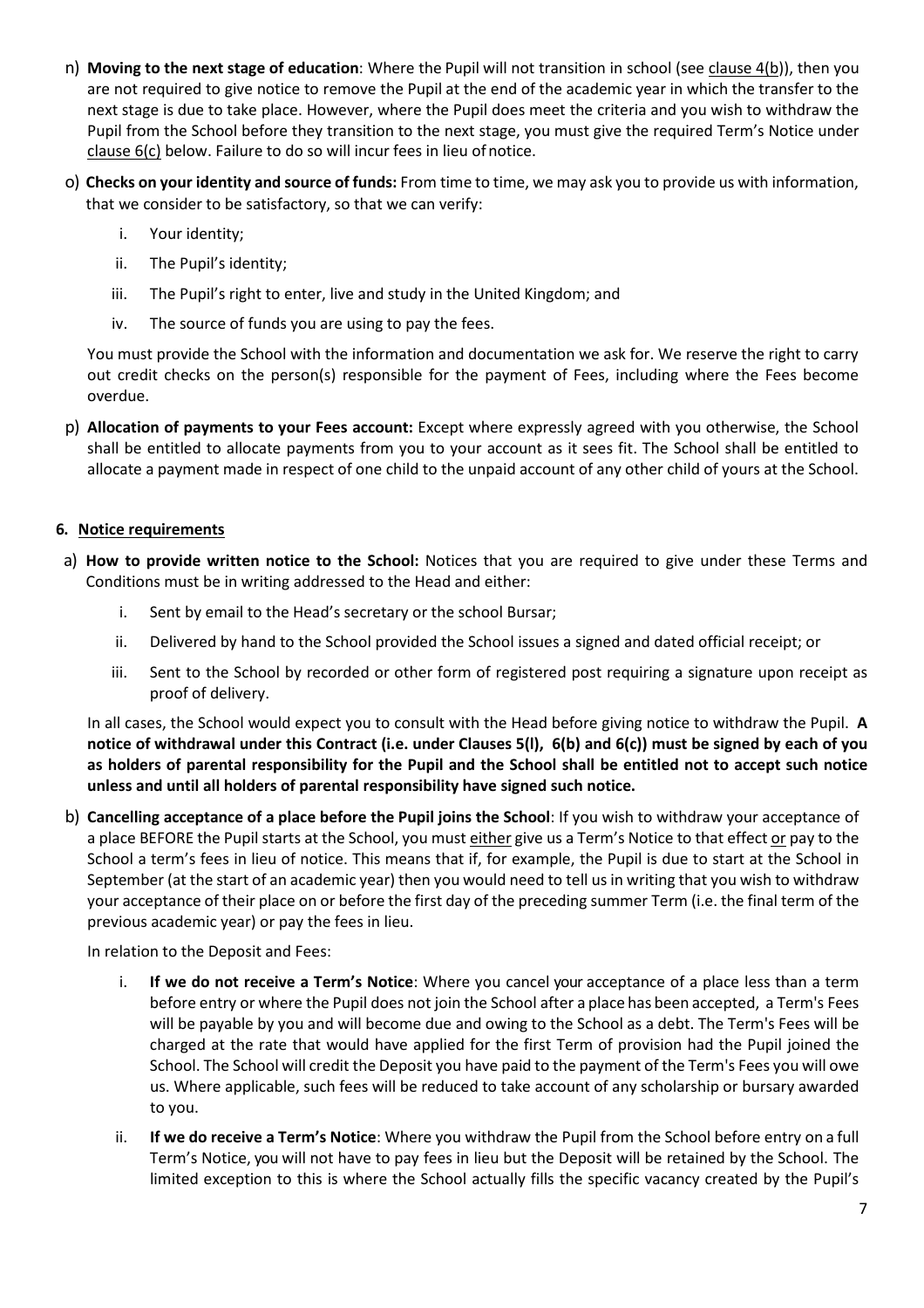- n) **Moving to the next stage of education**: Where the Pupil will not transition in school (see clause 4(b)), then you are not required to give notice to remove the Pupil at the end of the academic year in which the transfer to the next stage is due to take place. However, where the Pupil does meet the criteria and you wish to withdraw the Pupil from the School before they transition to the next stage, you must give the required Term's Notice under clause 6(c) below. Failure to do so will incur fees in lieu of notice.
- o) **Checks on your identity and source of funds:** From time to time, we may ask you to provide us with information, that we consider to be satisfactory, so that we can verify:
	- i. Your identity;
	- ii. The Pupil's identity;
	- iii. The Pupil's right to enter, live and study in the United Kingdom; and
	- iv. The source of funds you are using to pay the fees.

You must provide the School with the information and documentation we ask for. We reserve the right to carry out credit checks on the person(s) responsible for the payment of Fees, including where the Fees become overdue.

p) **Allocation of payments to your Fees account:** Except where expressly agreed with you otherwise, the School shall be entitled to allocate payments from you to your account as it sees fit. The School shall be entitled to allocate a payment made in respect of one child to the unpaid account of any other child of yours at the School.

# <span id="page-6-0"></span>**6. Notice requirements**

- a) **How to provide written notice to the School:** Notices that you are required to give under these Terms and Conditions must be in writing addressed to the Head and either:
	- i. Sent by email to the Head's secretary or the school Bursar;
	- ii. Delivered by hand to the School provided the School issues a signed and dated official receipt; or
	- iii. Sent to the School by recorded or other form of registered post requiring a signature upon receipt as proof of delivery.

In all cases, the School would expect you to consult with the Head before giving notice to withdraw the Pupil. **A notice of withdrawal under this Contract (i.e. under Clauses 5(l), 6(b) and 6(c)) must be signed by each of you as holders of parental responsibility for the Pupil and the School shall be entitled not to accept such notice unless and until all holders of parental responsibility have signed such notice.**

b) **Cancelling acceptance of a place before the Pupil joins the School**: If you wish to withdraw your acceptance of a place BEFORE the Pupil starts at the School, you must either give us a Term's Notice to that effect or pay to the School a term's fees in lieu of notice. This means that if, for example, the Pupil is due to start at the School in September (at the start of an academic year) then you would need to tell us in writing that you wish to withdraw your acceptance of their place on or before the first day of the preceding summer Term (i.e. the final term of the previous academic year) or pay the fees in lieu.

In relation to the Deposit and Fees:

- i. **If we do not receive a Term's Notice**: Where you cancel your acceptance of a place less than a term before entry or where the Pupil does not join the School after a place has been accepted, a Term's Fees will be payable by you and will become due and owing to the School as a debt. The Term's Fees will be charged at the rate that would have applied for the first Term of provision had the Pupil joined the School. The School will credit the Deposit you have paid to the payment of the Term's Fees you will owe us. Where applicable, such fees will be reduced to take account of any scholarship or bursary awarded to you.
- ii. **If we do receive a Term's Notice**: Where you withdraw the Pupil from the School before entry on a full Term's Notice, you will not have to pay fees in lieu but the Deposit will be retained by the School. The limited exception to this is where the School actually fills the specific vacancy created by the Pupil's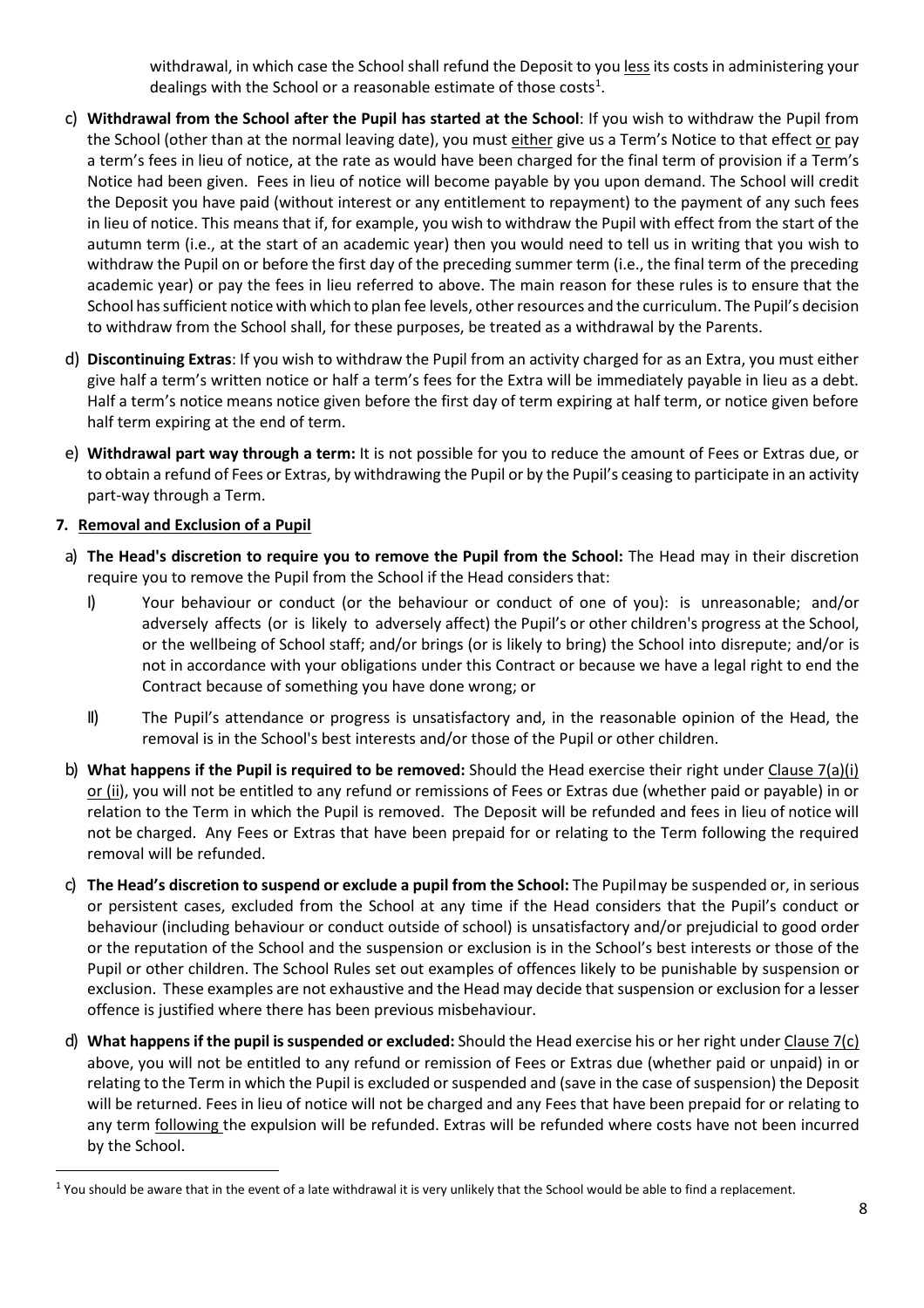withdrawal, in which case the School shall refund the Deposit to you less its costs in administering your dealings with the School or a reasonable estimate of those costs<sup>[1](#page-7-1)</sup>.

- <span id="page-7-0"></span>c) **Withdrawal from the School after the Pupil has started at the School**: If you wish to withdraw the Pupil from the School (other than at the normal leaving date), you must either give us a Term's Notice to that effect or pay a term's fees in lieu of notice, at the rate as would have been charged for the final term of provision if a Term's Notice had been given. Fees in lieu of notice will become payable by you upon demand. The School will credit the Deposit you have paid (without interest or any entitlement to repayment) to the payment of any such fees in lieu of notice. This means that if, for example, you wish to withdraw the Pupil with effect from the start of the autumn term (i.e., at the start of an academic year) then you would need to tell us in writing that you wish to withdraw the Pupil on or before the first day of the preceding summer term (i.e., the final term of the preceding academic year) or pay the fees in lieu referred to above. The main reason for these rules is to ensure that the School hassufficient notice with which to plan fee levels, other resources and the curriculum. The Pupil's decision to withdraw from the School shall, for these purposes, be treated as a withdrawal by the Parents.
- d) **Discontinuing Extras**: If you wish to withdraw the Pupil from an activity charged for as an Extra, you must either give half a term's written notice or half a term's fees for the Extra will be immediately payable in lieu as a debt. Half a term's notice means notice given before the first day of term expiring at half term, or notice given before half term expiring at the end of term.
- e) **Withdrawal part way through a term:** It is not possible for you to reduce the amount of Fees or Extras due, or to obtain a refund of Fees or Extras, by withdrawing the Pupil or by the Pupil's ceasing to participate in an activity part-way through a Term.

# **7. Removal and Exclusion of a Pupil**

- a) **The Head's discretion to require you to remove the Pupil from the School:** The Head may in their discretion require you to remove the Pupil from the School if the Head considers that:
	- I) Your behaviour or conduct (or the behaviour or conduct of one of you): is unreasonable; and/or adversely affects (or is likely to adversely affect) the Pupil's or other children's progress at the School, or the wellbeing of School staff; and/or brings (or is likely to bring) the School into disrepute; and/or is not in accordance with your obligations under this Contract or because we have a legal right to end the Contract because of something you have done wrong; or
	- II) The Pupil's attendance or progress is unsatisfactory and, in the reasonable opinion of the Head, the removal is in the School's best interests and/or those of the Pupil or other children.
- b) **What happens if the Pupil is required to be removed:** Should the Head exercise their right under Clause 7(a)(i) or (ii), you will not be entitled to any refund or remissions of Fees or Extras due (whether paid or payable) in or relation to the Term in which the Pupil is removed. The Deposit will be refunded and fees in lieu of notice will not be charged. Any Fees or Extras that have been prepaid for or relating to the Term following the required removal will be refunded.
- c) **The Head's discretion to suspend or exclude a pupil from the School:** The Pupilmay be suspended or, in serious or persistent cases, excluded from the School at any time if the Head considers that the Pupil's conduct or behaviour (including behaviour or conduct outside of school) is unsatisfactory and/or prejudicial to good order or the reputation of the School and the suspension or exclusion is in the School's best interests or those of the Pupil or other children. The School Rules set out examples of offences likely to be punishable by suspension or exclusion. These examples are not exhaustive and the Head may decide that suspension or exclusion for a lesser offence is justified where there has been previous misbehaviour.
- d) **What happens if the pupil is suspended or excluded:** Should the Head exercise his or her right under Clause 7(c) above, you will not be entitled to any refund or remission of Fees or Extras due (whether paid or unpaid) in or relating to the Term in which the Pupil is excluded or suspended and (save in the case of suspension) the Deposit will be returned. Fees in lieu of notice will not be charged and any Fees that have been prepaid for or relating to any term following the expulsion will be refunded. Extras will be refunded where costs have not been incurred by the School.

<span id="page-7-1"></span> $1$  You should be aware that in the event of a late withdrawal it is very unlikely that the School would be able to find a replacement.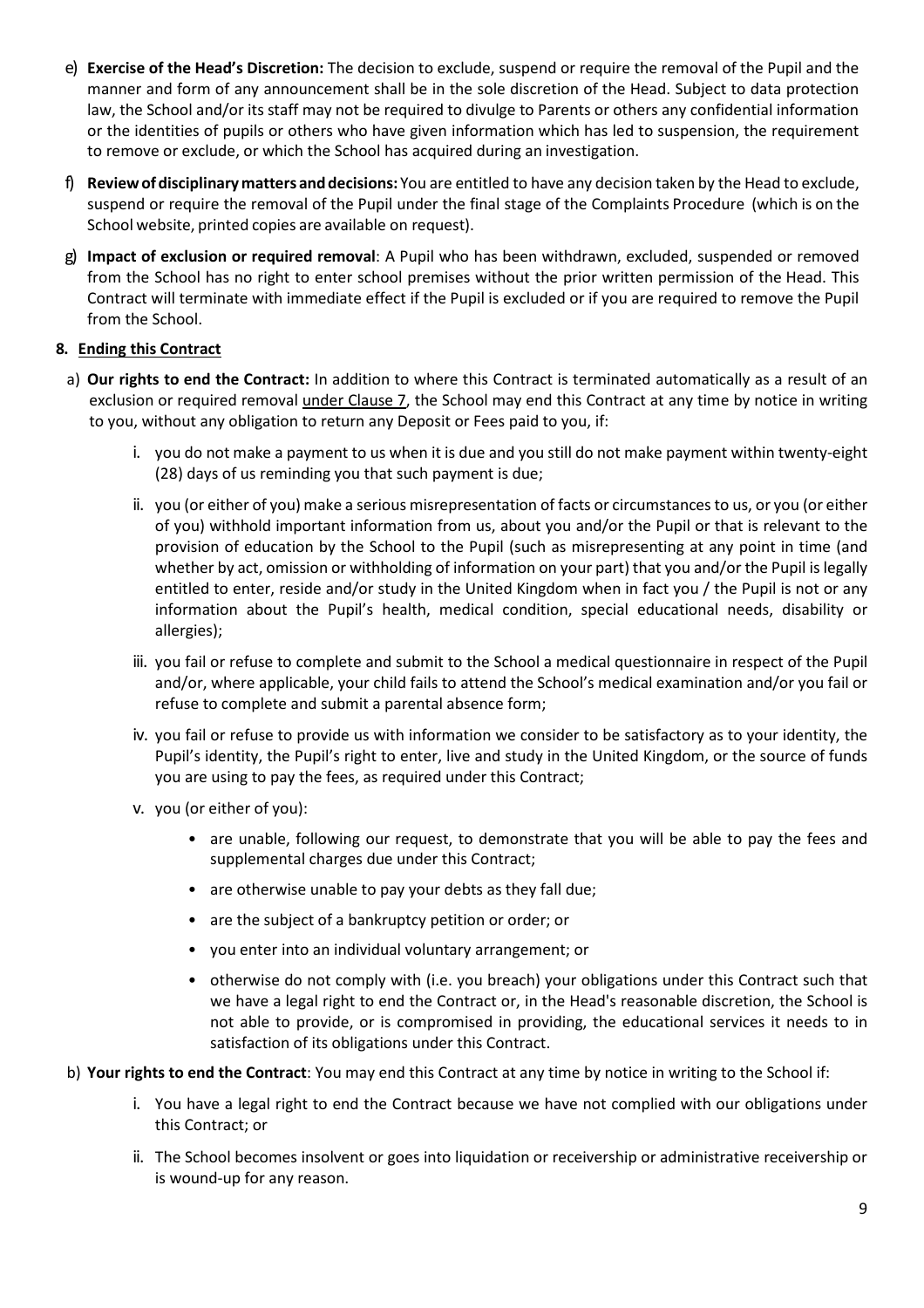- e) **Exercise of the Head's Discretion:** The decision to exclude, suspend or require the removal of the Pupil and the manner and form of any announcement shall be in the sole discretion of the Head. Subject to data protection law, the School and/or its staff may not be required to divulge to Parents or others any confidential information or the identities of pupils or others who have given information which has led to suspension, the requirement to remove or exclude, or which the School has acquired during an investigation.
- f) **Reviewofdisciplinarymatters anddecisions:** You are entitled to have any decision taken by the Head to exclude, suspend or require the removal of the Pupil under the final stage of the Complaints Procedure (which is on the School website, printed copies are available on request).
- g) **Impact of exclusion or required removal**: A Pupil who has been withdrawn, excluded, suspended or removed from the School has no right to enter school premises without the prior written permission of the Head. This Contract will terminate with immediate effect if the Pupil is excluded or if you are required to remove the Pupil from the School.

# **8. Ending this Contract**

- a) **Our rights to end the Contract:** In addition to where this Contract is terminated automatically as a result of an exclusion or required removal under Clause 7, the School may end this Contract at any time by notice in writing to you, without any obligation to return any Deposit or Fees paid to you, if:
	- i. you do not make a payment to us when it is due and you still do not make payment within twenty-eight (28) days of us reminding you that such payment is due;
	- ii. you (or either of you) make a serious misrepresentation of facts or circumstances to us, or you (or either of you) withhold important information from us, about you and/or the Pupil or that is relevant to the provision of education by the School to the Pupil (such as misrepresenting at any point in time (and whether by act, omission or withholding of information on your part) that you and/or the Pupil is legally entitled to enter, reside and/or study in the United Kingdom when in fact you / the Pupil is not or any information about the Pupil's health, medical condition, special educational needs, disability or allergies);
	- iii. you fail or refuse to complete and submit to the School a medical questionnaire in respect of the Pupil and/or, where applicable, your child fails to attend the School's medical examination and/or you fail or refuse to complete and submit a parental absence form;
	- iv. you fail or refuse to provide us with information we consider to be satisfactory as to your identity, the Pupil's identity, the Pupil's right to enter, live and study in the United Kingdom, or the source of funds you are using to pay the fees, as required under this Contract;
	- v. you (or either of you):
		- are unable, following our request, to demonstrate that you will be able to pay the fees and supplemental charges due under this Contract;
		- are otherwise unable to pay your debts as they fall due;
		- are the subject of a bankruptcy petition or order; or
		- you enter into an individual voluntary arrangement; or
		- otherwise do not comply with (i.e. you breach) your obligations under this Contract such that we have a legal right to end the Contract or, in the Head's reasonable discretion, the School is not able to provide, or is compromised in providing, the educational services it needs to in satisfaction of its obligations under this Contract.
- b) **Your rights to end the Contract**: You may end this Contract at any time by notice in writing to the School if:
	- i. You have a legal right to end the Contract because we have not complied with our obligations under this Contract; or
	- ii. The School becomes insolvent or goes into liquidation or receivership or administrative receivership or is wound-up for any reason.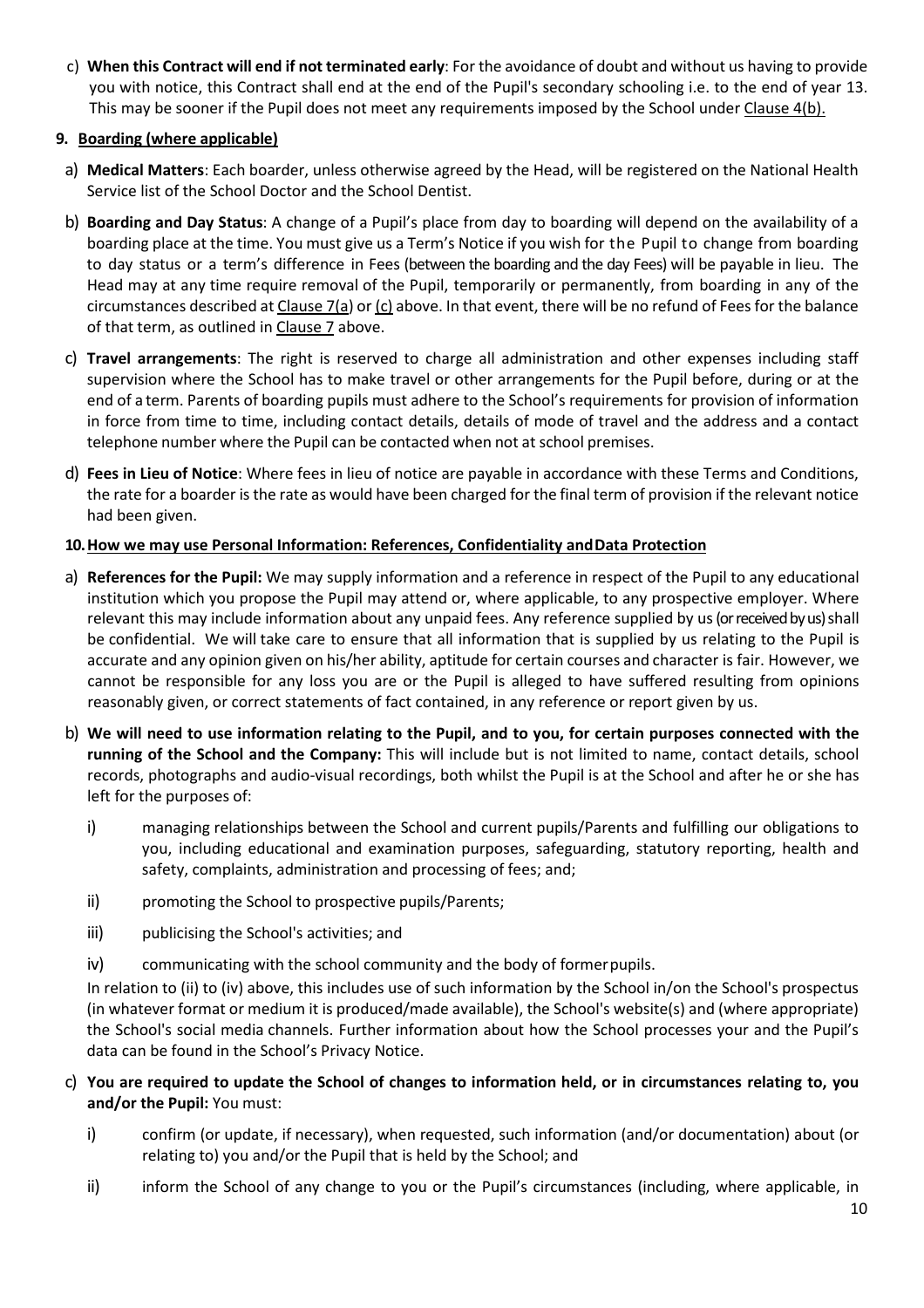c) **When this Contract will end if not terminated early**: For the avoidance of doubt and without us having to provide you with notice, this Contract shall end at the end of the Pupil's secondary schooling i.e. to the end of year 13. This may be sooner if the Pupil does not meet any requirements imposed by the School under Clause 4(b).

#### **9. Boarding (where applicable)**

- a) **Medical Matters**: Each boarder, unless otherwise agreed by the Head, will be registered on the National Health Service list of the School Doctor and the School Dentist.
- b) **Boarding and Day Status**: A change of a Pupil's place from day to boarding will depend on the availability of a boarding place at the time. You must give us a Term's Notice if you wish for the Pupil to change from boarding to day status or a term's difference in Fees (between the boarding and the day Fees) will be payable in lieu. The Head may at any time require removal of the Pupil, temporarily or permanently, from boarding in any of the circumstances described at Clause 7(a) or  $(c)$  above. In that event, there will be no refund of Fees for the balance of that term, as outlined in Clause 7 above.
- c) **Travel arrangements**: The right is reserved to charge all administration and other expenses including staff supervision where the School has to make travel or other arrangements for the Pupil before, during or at the end of a term. Parents of boarding pupils must adhere to the School's requirements for provision of information in force from time to time, including contact details, details of mode of travel and the address and a contact telephone number where the Pupil can be contacted when not at school premises.
- d) **Fees in Lieu of Notice**: Where fees in lieu of notice are payable in accordance with these Terms and Conditions, the rate for a boarder is the rate as would have been charged for the final term of provision if the relevant notice had been given.

# **10.How we may use Personal Information: References, Confidentiality andData Protection**

- a) **References for the Pupil:** We may supply information and a reference in respect of the Pupil to any educational institution which you propose the Pupil may attend or, where applicable, to any prospective employer. Where relevant this may include information about any unpaid fees. Any reference supplied by us(or received by us) shall be confidential. We will take care to ensure that all information that is supplied by us relating to the Pupil is accurate and any opinion given on his/her ability, aptitude for certain courses and character is fair. However, we cannot be responsible for any loss you are or the Pupil is alleged to have suffered resulting from opinions reasonably given, or correct statements of fact contained, in any reference or report given by us.
- b) **We will need to use information relating to the Pupil, and to you, for certain purposes connected with the running of the School and the Company:** This will include but is not limited to name, contact details, school records, photographs and audio-visual recordings, both whilst the Pupil is at the School and after he or she has left for the purposes of:
	- i) managing relationships between the School and current pupils/Parents and fulfilling our obligations to you, including educational and examination purposes, safeguarding, statutory reporting, health and safety, complaints, administration and processing of fees; and;
	- ii) promoting the School to prospective pupils/Parents;
	- iii) publicising the School's activities; and
	- iv) communicating with the school community and the body of formerpupils.

In relation to (ii) to (iv) above, this includes use of such information by the School in/on the School's prospectus (in whatever format or medium it is produced/made available), the School's website(s) and (where appropriate) the School's social media channels. Further information about how the School processes your and the Pupil's data can be found in the School's Privacy Notice.

- c) **You are required to update the School of changes to information held, or in circumstances relating to, you and/or the Pupil:** You must:
	- i) confirm (or update, if necessary), when requested, such information (and/or documentation) about (or relating to) you and/or the Pupil that is held by the School; and
	- ii) inform the School of any change to you or the Pupil's circumstances (including, where applicable, in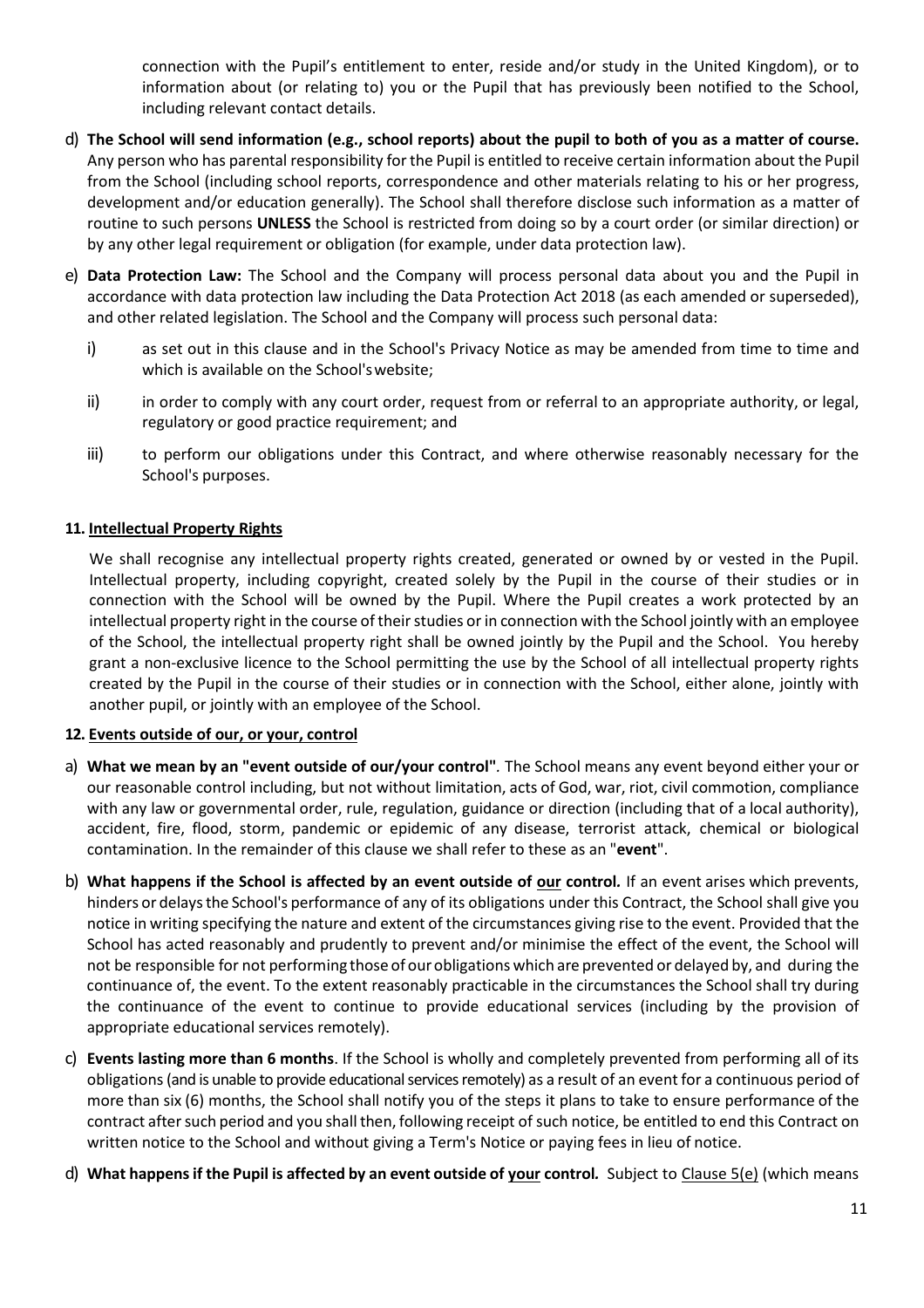connection with the Pupil's entitlement to enter, reside and/or study in the United Kingdom), or to information about (or relating to) you or the Pupil that has previously been notified to the School, including relevant contact details.

- d) **The School will send information (e.g., school reports) about the pupil to both of you as a matter of course.**  Any person who has parental responsibility for the Pupil is entitled to receive certain information about the Pupil from the School (including school reports, correspondence and other materials relating to his or her progress, development and/or education generally). The School shall therefore disclose such information as a matter of routine to such persons **UNLESS** the School is restricted from doing so by a court order (or similar direction) or by any other legal requirement or obligation (for example, under data protection law).
- e) **Data Protection Law:** The School and the Company will process personal data about you and the Pupil in accordance with data protection law including the Data Protection Act 2018 (as each amended or superseded), and other related legislation. The School and the Company will process such personal data:
	- i) as set out in this clause and in the School's Privacy Notice as may be amended from time to time and which is available on the School'swebsite;
	- ii) in order to comply with any court order, request from or referral to an appropriate authority, or legal, regulatory or good practice requirement; and
	- iii) to perform our obligations under this Contract, and where otherwise reasonably necessary for the School's purposes.

#### **11. Intellectual Property Rights**

We shall recognise any intellectual property rights created, generated or owned by or vested in the Pupil. Intellectual property, including copyright, created solely by the Pupil in the course of their studies or in connection with the School will be owned by the Pupil. Where the Pupil creates a work protected by an intellectual property right in the course of their studies or in connection with the School jointly with an employee of the School, the intellectual property right shall be owned jointly by the Pupil and the School. You hereby grant a non-exclusive licence to the School permitting the use by the School of all intellectual property rights created by the Pupil in the course of their studies or in connection with the School, either alone, jointly with another pupil, or jointly with an employee of the School.

#### **12. Events outside of our, or your, control**

- a) **What we mean by an "event outside of our/your control"***.* The School means any event beyond either your or our reasonable control including, but not without limitation, acts of God, war, riot, civil commotion, compliance with any law or governmental order, rule, regulation, guidance or direction (including that of a local authority), accident, fire, flood, storm, pandemic or epidemic of any disease, terrorist attack, chemical or biological contamination. In the remainder of this clause we shall refer to these as an "**event**".
- b) **What happens if the School is affected by an event outside of our control***.* If an event arises which prevents, hinders or delaysthe School's performance of any of its obligations under this Contract, the School shall give you notice in writing specifying the nature and extent of the circumstances giving rise to the event. Provided that the School has acted reasonably and prudently to prevent and/or minimise the effect of the event, the School will not be responsible for not performing those of ourobligations which are prevented or delayed by, and during the continuance of, the event. To the extent reasonably practicable in the circumstances the School shall try during the continuance of the event to continue to provide educational services (including by the provision of appropriate educational services remotely).
- c) **Events lasting more than 6 months**. If the School is wholly and completely prevented from performing all of its obligations(and is unable to provide educational services remotely) as a result of an event for a continuous period of more than six (6) months, the School shall notify you of the steps it plans to take to ensure performance of the contract after such period and you shall then, following receipt of such notice, be entitled to end this Contract on written notice to the School and without giving a Term's Notice or paying fees in lieu of notice.
- d) **What happensif the Pupil is affected by an event outside of your control***.* Subject to Clause 5(e) (which means